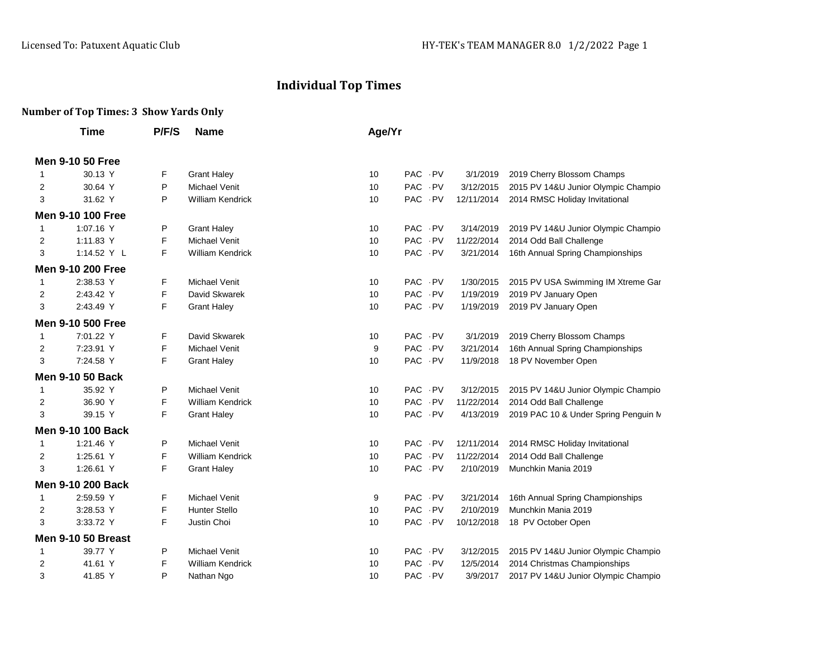## **Individual Top Times**

## **Number of Top Times: 3 Show Yards Only**

|                | <b>Time</b>              | P/F/S | <b>Name</b>             | Age/Yr |        |      |            |                                      |
|----------------|--------------------------|-------|-------------------------|--------|--------|------|------------|--------------------------------------|
|                | <b>Men 9-10 50 Free</b>  |       |                         |        |        |      |            |                                      |
| 1              | 30.13 Y                  | F     | <b>Grant Haley</b>      | 10     | PAC PV |      | 3/1/2019   | 2019 Cherry Blossom Champs           |
| 2              | 30.64 Y                  | P     | Michael Venit           | 10     | PAC PV |      | 3/12/2015  | 2015 PV 14&U Junior Olympic Champio  |
| 3              | 31.62 Y                  | P     | <b>William Kendrick</b> | 10     | PAC PV |      | 12/11/2014 | 2014 RMSC Holiday Invitational       |
|                | <b>Men 9-10 100 Free</b> |       |                         |        |        |      |            |                                      |
| 1              | 1:07.16 Y                | Ρ     | <b>Grant Haley</b>      | 10     | PAC PV |      | 3/14/2019  | 2019 PV 14&U Junior Olympic Champio  |
| 2              | 1:11.83 Y                | F     | <b>Michael Venit</b>    | 10     | PAC PV |      | 11/22/2014 | 2014 Odd Ball Challenge              |
| 3              | 1:14.52 Y L              | F     | <b>William Kendrick</b> | 10     | PAC PV |      | 3/21/2014  | 16th Annual Spring Championships     |
|                | <b>Men 9-10 200 Free</b> |       |                         |        |        |      |            |                                      |
| 1              | 2:38.53 Y                | F     | <b>Michael Venit</b>    | 10     | PAC PV |      | 1/30/2015  | 2015 PV USA Swimming IM Xtreme Gar   |
| 2              | 2:43.42 Y                | F     | David Skwarek           | 10     | PAC PV |      | 1/19/2019  | 2019 PV January Open                 |
| 3              | 2:43.49 Y                | F     | <b>Grant Haley</b>      | 10     | PAC PV |      | 1/19/2019  | 2019 PV January Open                 |
|                | <b>Men 9-10 500 Free</b> |       |                         |        |        |      |            |                                      |
| $\mathbf{1}$   | 7:01.22 Y                | F     | David Skwarek           | 10     | PAC PV |      | 3/1/2019   | 2019 Cherry Blossom Champs           |
| $\overline{2}$ | 7:23.91 Y                | F     | <b>Michael Venit</b>    | 9      | PAC PV |      | 3/21/2014  | 16th Annual Spring Championships     |
| 3              | 7:24.58 Y                | F     | <b>Grant Haley</b>      | 10     | PAC PV |      | 11/9/2018  | 18 PV November Open                  |
|                | <b>Men 9-10 50 Back</b>  |       |                         |        |        |      |            |                                      |
| 1              | 35.92 Y                  | P     | <b>Michael Venit</b>    | 10     | PAC PV |      | 3/12/2015  | 2015 PV 14&U Junior Olympic Champio  |
| 2              | 36.90 Y                  | F     | <b>William Kendrick</b> | 10     | PAC PV |      | 11/22/2014 | 2014 Odd Ball Challenge              |
| 3              | 39.15 Y                  | F     | <b>Grant Haley</b>      | 10     | PAC PV |      | 4/13/2019  | 2019 PAC 10 & Under Spring Penguin M |
|                | <b>Men 9-10 100 Back</b> |       |                         |        |        |      |            |                                      |
| 1              | 1:21.46 Y                | P     | Michael Venit           | 10     | PAC PV |      | 12/11/2014 | 2014 RMSC Holiday Invitational       |
| 2              | 1:25.61 Y                | F     | <b>William Kendrick</b> | 10     | PAC PV |      | 11/22/2014 | 2014 Odd Ball Challenge              |
| 3              | 1:26.61 Y                | F     | <b>Grant Haley</b>      | 10     | PAC PV |      | 2/10/2019  | Munchkin Mania 2019                  |
|                | <b>Men 9-10 200 Back</b> |       |                         |        |        |      |            |                                      |
| 1              | 2:59.59 Y                | F.    | <b>Michael Venit</b>    | 9      | PAC PV |      | 3/21/2014  | 16th Annual Spring Championships     |
| 2              | 3:28.53 Y                | F     | <b>Hunter Stello</b>    | 10     | PAC PV |      | 2/10/2019  | Munchkin Mania 2019                  |
| 3              | 3:33.72 Y                | F     | Justin Choi             | 10     | PAC PV |      | 10/12/2018 | 18 PV October Open                   |
|                | Men 9-10 50 Breast       |       |                         |        |        |      |            |                                      |
| 1              | 39.77 Y                  | Ρ     | <b>Michael Venit</b>    | 10     | PAC    | . PV | 3/12/2015  | 2015 PV 14&U Junior Olympic Champio  |
| 2              | 41.61 Y                  | F     | <b>William Kendrick</b> | 10     | PAC PV |      | 12/5/2014  | 2014 Christmas Championships         |
| 3              | 41.85 Y                  | P     | Nathan Ngo              | 10     | PAC PV |      | 3/9/2017   | 2017 PV 14&U Junior Olympic Champio  |